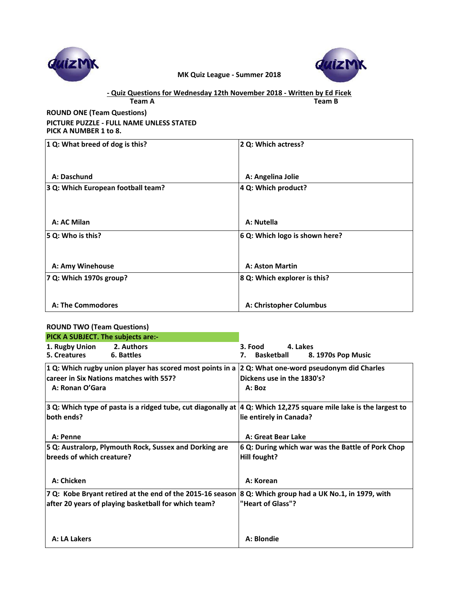

## **Team A Team B - Quiz Questions for Wednesday 12th November 2018 - Written by Ed Ficek**

# **ROUND ONE (Team Questions) PICTURE PUZZLE - FULL NAME UNLESS STATED PICK A NUMBER 1 to 8.**

| 1 Q: What breed of dog is this?    | 2 Q: Which actress?            |
|------------------------------------|--------------------------------|
|                                    |                                |
|                                    |                                |
| A: Daschund                        | A: Angelina Jolie              |
| 3 Q: Which European football team? | 4 Q: Which product?            |
|                                    |                                |
|                                    |                                |
| A: AC Milan                        | A: Nutella                     |
| 5 Q: Who is this?                  | 6 Q: Which logo is shown here? |
|                                    |                                |
|                                    |                                |
| A: Amy Winehouse                   | A: Aston Martin                |
| 7 Q: Which 1970s group?            | 8 Q: Which explorer is this?   |
|                                    |                                |
| A: The Commodores                  | A: Christopher Columbus        |
|                                    |                                |

## **ROUND TWO (Team Questions)**

| PICK A SUBJECT. The subjects are:-      |                                                           |                                                                                                                    |
|-----------------------------------------|-----------------------------------------------------------|--------------------------------------------------------------------------------------------------------------------|
| 1. Rugby Union                          | 2. Authors                                                | 4. Lakes<br>3. Food                                                                                                |
| 5. Creatures<br>6. Battles              |                                                           | <b>Basketball</b><br>8. 1970s Pop Music<br>7.                                                                      |
|                                         | 1 Q: Which rugby union player has scored most points in a | 2 Q: What one-word pseudonym did Charles                                                                           |
| career in Six Nations matches with 557? |                                                           | Dickens use in the 1830's?                                                                                         |
| A: Ronan O'Gara                         |                                                           | A:Box                                                                                                              |
|                                         |                                                           | 3 Q: Which type of pasta is a ridged tube, cut diagonally at  4 Q: Which 12,275 square mile lake is the largest to |
| both ends?                              |                                                           | lie entirely in Canada?                                                                                            |
| A: Penne                                |                                                           | A: Great Bear Lake                                                                                                 |
|                                         | 5 Q: Australorp, Plymouth Rock, Sussex and Dorking are    | 6 Q: During which war was the Battle of Pork Chop                                                                  |
| breeds of which creature?               |                                                           | Hill fought?                                                                                                       |
| A: Chicken                              |                                                           | A: Korean                                                                                                          |
|                                         |                                                           |                                                                                                                    |
|                                         | 7 Q: Kobe Bryant retired at the end of the 2015-16 season | 8 Q: Which group had a UK No.1, in 1979, with                                                                      |
|                                         | after 20 years of playing basketball for which team?      | "Heart of Glass"?                                                                                                  |
|                                         |                                                           |                                                                                                                    |
| A: LA Lakers                            |                                                           | A: Blondie                                                                                                         |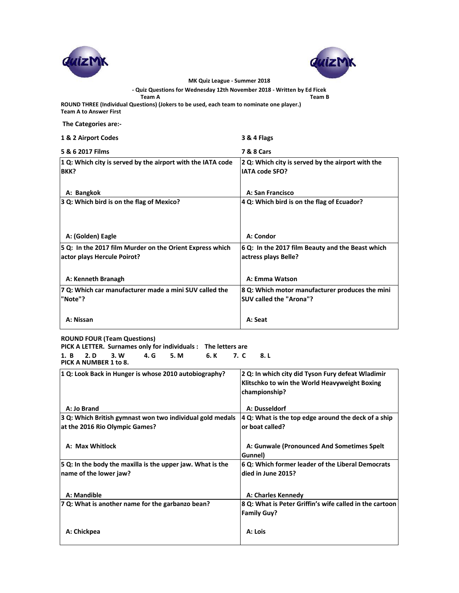



**- Quiz Questions for Wednesday 12th November 2018 - Written by Ed Ficek**

**Team A Team B**

**ROUND THREE (Individual Questions) (Jokers to be used, each team to nominate one player.) Team A to Answer First** 

 **The Categories are:-**

| 1 & 2 Airport Codes                                                                     | 3 & 4 Flags                                                                |
|-----------------------------------------------------------------------------------------|----------------------------------------------------------------------------|
| 5 & 6 2017 Films                                                                        | <b>7 &amp; 8 Cars</b>                                                      |
| 1 Q: Which city is served by the airport with the IATA code<br>BKK?                     | 2 Q: Which city is served by the airport with the<br><b>IATA code SFO?</b> |
| A: Bangkok                                                                              | A: San Francisco                                                           |
| 3 Q: Which bird is on the flag of Mexico?                                               | 4 Q: Which bird is on the flag of Ecuador?                                 |
| A: (Golden) Eagle                                                                       | A: Condor                                                                  |
| 5 Q: In the 2017 film Murder on the Orient Express which<br>actor plays Hercule Poirot? | 6 Q: In the 2017 film Beauty and the Beast which<br>actress plays Belle?   |
| A: Kenneth Branagh                                                                      | A: Emma Watson                                                             |
| 7 Q: Which car manufacturer made a mini SUV called the<br>"Note"?                       | 8 Q: Which motor manufacturer produces the mini<br>SUV called the "Arona"? |
| A: Nissan                                                                               | A: Seat                                                                    |

**ROUND FOUR (Team Questions)**

**PICK A LETTER. Surnames only for individuals : The letters are 1. B 2. D 3. W 4. G 5. M 6. K 7. C 8. L PICK A NUMBER 1 to 8.**

| 1 Q: Look Back in Hunger is whose 2010 autobiography?                                       | 2 Q: In which city did Tyson Fury defeat Wladimir<br>Klitschko to win the World Heavyweight Boxing<br>championship? |
|---------------------------------------------------------------------------------------------|---------------------------------------------------------------------------------------------------------------------|
| A: Jo Brand                                                                                 | A: Dusseldorf                                                                                                       |
| 3 Q: Which British gymnast won two individual gold medals<br>at the 2016 Rio Olympic Games? | $ 4 Q$ : What is the top edge around the deck of a ship<br>or boat called?                                          |
| A: Max Whitlock                                                                             | A: Gunwale (Pronounced And Sometimes Spelt)<br>Gunnel)                                                              |
| 5 Q: In the body the maxilla is the upper jaw. What is the<br>name of the lower jaw?        | 6 Q: Which former leader of the Liberal Democrats<br>died in June 2015?                                             |
| A: Mandible                                                                                 | A: Charles Kennedy                                                                                                  |
| 7 Q: What is another name for the garbanzo bean?                                            | 8 Q: What is Peter Griffin's wife called in the cartoon<br><b>Family Guy?</b>                                       |
| A: Chickpea                                                                                 | A: Lois                                                                                                             |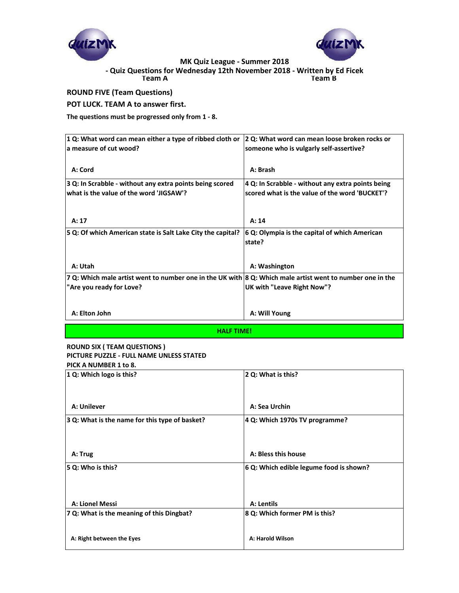



**Team A Team B - Quiz Questions for Wednesday 12th November 2018 - Written by Ed Ficek**

# **ROUND FIVE (Team Questions)**

### **POT LUCK. TEAM A to answer first.**

**The questions must be progressed only from 1 - 8.**

| 1 Q: What word can mean either a type of ribbed cloth or                                                  | 2 Q: What word can mean loose broken rocks or     |  |
|-----------------------------------------------------------------------------------------------------------|---------------------------------------------------|--|
| la measure of cut wood?                                                                                   | someone who is vulgarly self-assertive?           |  |
|                                                                                                           |                                                   |  |
| A: Cord                                                                                                   | A: Brash                                          |  |
| 3 Q: In Scrabble - without any extra points being scored                                                  | 4 Q: In Scrabble - without any extra points being |  |
| what is the value of the word 'JIGSAW'?                                                                   | scored what is the value of the word 'BUCKET'?    |  |
|                                                                                                           |                                                   |  |
| A: 17                                                                                                     | A: 14                                             |  |
| 5 Q: Of which American state is Salt Lake City the capital?                                               | 6 Q: Olympia is the capital of which American     |  |
|                                                                                                           | state?                                            |  |
|                                                                                                           |                                                   |  |
| A: Utah                                                                                                   | A: Washington                                     |  |
| 7 Q: Which male artist went to number one in the UK with 8 Q: Which male artist went to number one in the |                                                   |  |
| "Are you ready for Love?                                                                                  | UK with "Leave Right Now"?                        |  |
|                                                                                                           |                                                   |  |
| A: Elton John                                                                                             | A: Will Young                                     |  |
| <b>HALF TIME!</b>                                                                                         |                                                   |  |

#### **ROUND SIX ( TEAM QUESTIONS ) PICTURE PUZZLE - FULL NAME UNLESS STATED PICK A NUMBER 1 to 8.**

| PILK A NUIVIDER I 10 8.<br>1 Q: Which logo is this? | 2 Q: What is this?                      |
|-----------------------------------------------------|-----------------------------------------|
|                                                     |                                         |
| A: Unilever                                         | A: Sea Urchin                           |
| 3 Q: What is the name for this type of basket?      | 4 Q: Which 1970s TV programme?          |
|                                                     |                                         |
| A: Trug                                             | A: Bless this house                     |
| 5 Q: Who is this?                                   | 6 Q: Which edible legume food is shown? |
| A: Lionel Messi                                     | A: Lentils                              |
| 7 Q: What is the meaning of this Dingbat?           | 8 Q: Which former PM is this?           |
| A: Right between the Eyes                           | A: Harold Wilson                        |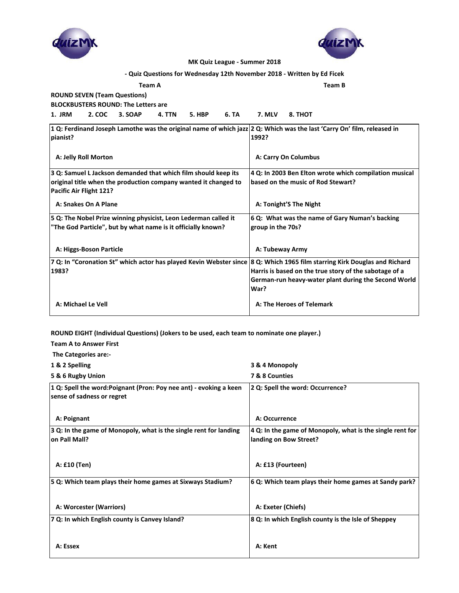



| - Quiz Questions for Wednesday 12th November 2018 - Written by Ed Ficek                                                            |                                                        |
|------------------------------------------------------------------------------------------------------------------------------------|--------------------------------------------------------|
| <b>Team A</b>                                                                                                                      | <b>Team B</b>                                          |
| <b>ROUND SEVEN (Team Questions)</b>                                                                                                |                                                        |
| <b>BLOCKBUSTERS ROUND: The Letters are</b>                                                                                         |                                                        |
| 1. JRM<br>2. COC<br>5. HBP<br>6. TA<br>3. SOAP<br>4. TTN                                                                           | 7. MLV<br>8. THOT                                      |
| 1 Q: Ferdinand Joseph Lamothe was the original name of which jazz 2 Q: Which was the last 'Carry On' film, released in<br>pianist? | 1992?                                                  |
| A: Jelly Roll Morton                                                                                                               | A: Carry On Columbus                                   |
| 3 Q: Samuel L Jackson demanded that which film should keep its                                                                     | 4 Q: In 2003 Ben Elton wrote which compilation musical |
| original title when the production company wanted it changed to                                                                    | based on the music of Rod Stewart?                     |
| Pacific Air Flight 121?                                                                                                            |                                                        |
| A: Snakes On A Plane                                                                                                               | A: Tonight'S The Night                                 |
| 5 Q: The Nobel Prize winning physicist, Leon Lederman called it                                                                    | 6 Q: What was the name of Gary Numan's backing         |
| "The God Particle", but by what name is it officially known?                                                                       | group in the 70s?                                      |
|                                                                                                                                    |                                                        |
| A: Higgs-Boson Particle                                                                                                            | A: Tubeway Army                                        |
| 7 Q: In "Coronation St" which actor has played Kevin Webster since 8 Q: Which 1965 film starring Kirk Douglas and Richard          |                                                        |
| 1983?                                                                                                                              | Harris is based on the true story of the sabotage of a |
|                                                                                                                                    | German-run heavy-water plant during the Second World   |
|                                                                                                                                    | War?                                                   |
| A: Michael Le Vell                                                                                                                 | A: The Heroes of Telemark                              |

#### **ROUND EIGHT (Individual Questions) (Jokers to be used, each team to nominate one player.)**

**Team A to Answer First**

 **The Categories are:- 1 & 2 Spelling 3 & 4 Monopoly 5 & 6 Rugby Union 7 & 8 Counties 1 Q: Spell the word:Poignant (Pron: Poy nee ant) - evoking a keen sense of sadness or regret 2 Q: Spell the word: Occurrence?**  A: Poignant **A: Poignant A: Poignant A: Occurrence 3 Q: In the game of Monopoly, what is the single rent for landing on Pall Mall? 4 Q: In the game of Monopoly, what is the single rent for landing on Bow Street? A: £10 (Ten) A: £13 (Fourteen) 5 Q: Which team plays their home games at Sixways Stadium? 6 Q: Which team plays their home games at Sandy park?** A: Worcester (Warriors) **A: Worcester (Warriors)** A: Exeter (Chiefs) **7 Q: In which English county is Canvey Island? 8 Q: In which English county is the Isle of Sheppey** A: Essex **A:** Kent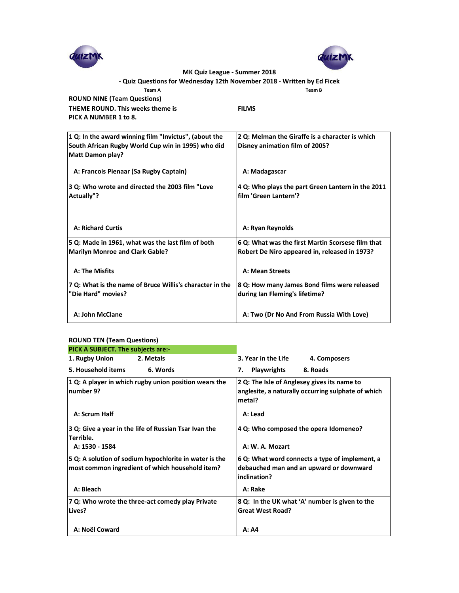



# **- Quiz Questions for Wednesday 12th November 2018 - Written by Ed Ficek**

**Team A Team B**

**ROUND NINE (Team Questions) THEME ROUND. This weeks theme is FILMS PICK A NUMBER 1 to 8.**

| 1 Q: In the award winning film "Invictus", (about the<br>South African Rugby World Cup win in 1995) who did<br><b>Matt Damon play?</b> | 2 Q: Melman the Giraffe is a character is which<br>Disney animation film of 2005? |
|----------------------------------------------------------------------------------------------------------------------------------------|-----------------------------------------------------------------------------------|
| A: Francois Pienaar (Sa Rugby Captain)                                                                                                 | A: Madagascar                                                                     |
| 3 Q: Who wrote and directed the 2003 film "Love                                                                                        | 4 Q: Who plays the part Green Lantern in the 2011                                 |
| Actually"?                                                                                                                             | film 'Green Lantern'?                                                             |
| <b>A: Richard Curtis</b>                                                                                                               | A: Ryan Reynolds                                                                  |
| 5 Q: Made in 1961, what was the last film of both                                                                                      | 6 Q: What was the first Martin Scorsese film that                                 |
| <b>Marilyn Monroe and Clark Gable?</b>                                                                                                 | Robert De Niro appeared in, released in 1973?                                     |
| A: The Misfits                                                                                                                         | A: Mean Streets                                                                   |
| 7 Q: What is the name of Bruce Willis's character in the                                                                               | 8 Q: How many James Bond films were released                                      |
| "Die Hard" movies?                                                                                                                     | during Ian Fleming's lifetime?                                                    |
| A: John McClane                                                                                                                        | A: Two (Dr No And From Russia With Love)                                          |

#### **ROUND TEN (Team Questions)**

| PICK A SUBJECT. The subjects are:-                                                                        |                                                                                                             |
|-----------------------------------------------------------------------------------------------------------|-------------------------------------------------------------------------------------------------------------|
| 1. Rugby Union<br>2. Metals                                                                               | 3. Year in the Life<br>4. Composers                                                                         |
| 5. Household items<br>6. Words                                                                            | <b>Playwrights</b><br>8. Roads<br>7.                                                                        |
| 1 Q: A player in which rugby union position wears the<br>Inumber 9?                                       | 2 Q: The Isle of Anglesey gives its name to<br>anglesite, a naturally occurring sulphate of which<br>metal? |
| A: Scrum Half                                                                                             | A: Lead                                                                                                     |
| 3 Q: Give a year in the life of Russian Tsar Ivan the<br>Terrible.<br>A: 1530 - 1584                      | 4 Q: Who composed the opera Idomeneo?<br>A: W. A. Mozart                                                    |
|                                                                                                           |                                                                                                             |
| 5 Q: A solution of sodium hypochlorite in water is the<br>most common ingredient of which household item? | 6 Q: What word connects a type of implement, a<br>debauched man and an upward or downward<br>inclination?   |
| A: Bleach                                                                                                 | A: Rake                                                                                                     |
| 7 Q: Who wrote the three-act comedy play Private                                                          | 8 Q: In the UK what 'A' number is given to the                                                              |
| Lives?                                                                                                    | <b>Great West Road?</b>                                                                                     |
| A: Noël Coward                                                                                            | A: A4                                                                                                       |